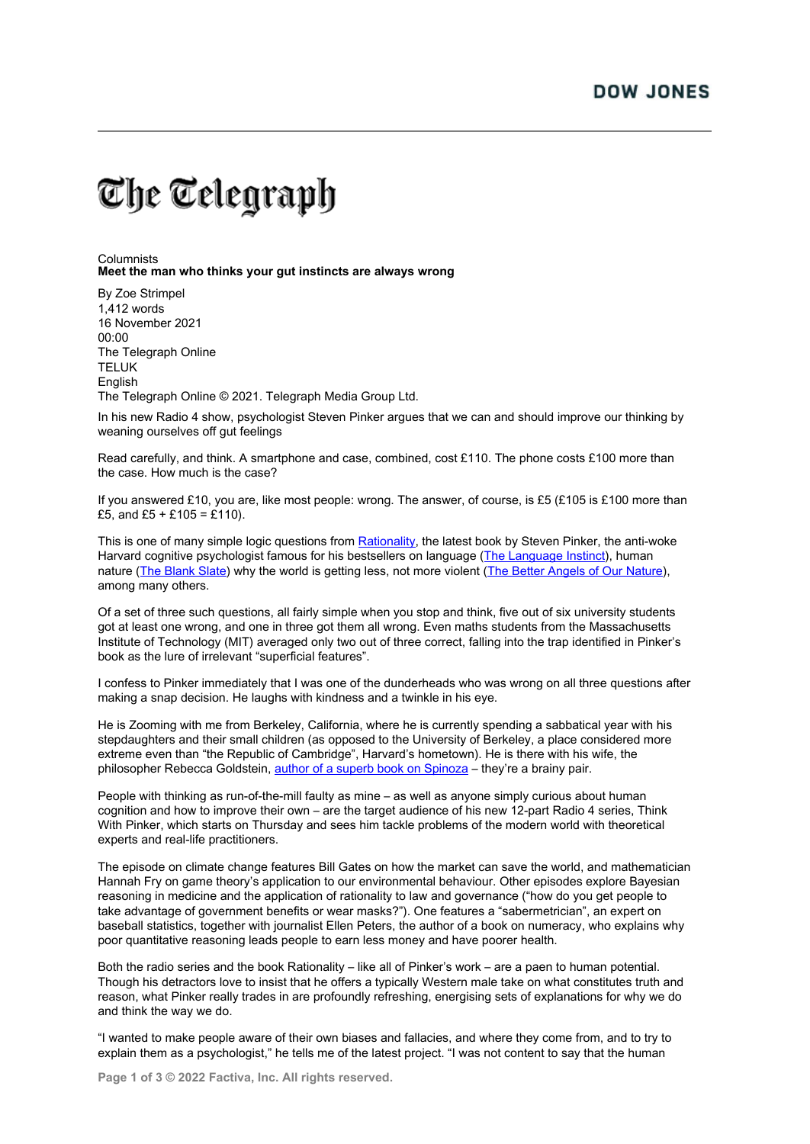## The Telegraph

**Columnists Meet the man who thinks your gut instincts are always wrong**

By Zoe Strimpel 1,412 words 16 November 2021 00:00 The Telegraph Online TELUK **English** The Telegraph Online © 2021. Telegraph Media Group Ltd.

In his new Radio 4 show, psychologist Steven Pinker argues that we can and should improve our thinking by weaning ourselves off gut feelings

Read carefully, and think. A smartphone and case, combined, cost £110. The phone costs £100 more than the case. How much is the case?

If you answered £10, you are, like most people: wrong. The answer, of course, is £5 (£105 is £100 more than £5, and £5 + £105 = £110).

This is one of many simple logic questions from [Rationality,](https://books.telegraph.co.uk/Product/Steven-Pinker/Rationality--What-It-Is-Why-It-Seems-Scarce-Why-It-Matters/25381085) the latest book by Steven Pinker, the anti-woke Harvard cognitive psychologist famous for his bestsellers on language [\(The Language Instinct](https://books.telegraph.co.uk/Product/Steven-Pinker/The-Language-Instinct--How-the-Mind-Creates-Language/16435213)), human nature [\(The Blank Slate\)](https://books.telegraph.co.uk/Product/Steven-Pinker/The-Blank-Slate--The-Modern-Denial-of-Human-Nature/347179)why the world is getting less, not more violent ([The Better Angels of Our Nature\)](https://books.telegraph.co.uk/Product/Steven-Pinker/The-Better-Angels-of-Our-Nature--A-History-of-Violence-and-Humanity/11377803), among many others.

Of a set of three such questions, all fairly simple when you stop and think, five out of six university students got at least one wrong, and one in three got them all wrong. Even maths students from the Massachusetts Institute of Technology (MIT) averaged only two out of three correct, falling into the trap identified in Pinker's book as the lure of irrelevant "superficial features".

I confess to Pinker immediately that I was one of the dunderheads who was wrong on all three questions after making a snap decision. He laughs with kindness and a twinkle in his eye.

He is Zooming with me from Berkeley, California, where he is currently spending a sabbatical year with his stepdaughters and their small children (as opposed to the University of Berkeley, a place considered more extreme even than "the Republic of Cambridge", Harvard's hometown). He is there with his wife, the philosopher Rebecca Goldstein, [author of a superb book on Spinoza](https://books.telegraph.co.uk/Product/Rebecca-Goldstein/Betraying-Spinoza/13994988) – they're a brainy pair.

People with thinking as run-of-the-mill faulty as mine – as well as anyone simply curious about human cognition and how to improve their own – are the target audience of his new 12-part Radio 4 series, Think With Pinker, which starts on Thursday and sees him tackle problems of the modern world with theoretical experts and real-life practitioners.

The episode on climate change features Bill Gates on how the market can save the world, and mathematician Hannah Fry on game theory's application to our environmental behaviour. Other episodes explore Bayesian reasoning in medicine and the application of rationality to law and governance ("how do you get people to take advantage of government benefits or wear masks?"). One features a "sabermetrician", an expert on baseball statistics, together with journalist Ellen Peters, the author of a book on numeracy, who explains why poor quantitative reasoning leads people to earn less money and have poorer health.

Both the radio series and the book Rationality – like all of Pinker's work – are a paen to human potential. Though his detractors love to insist that he offers a typically Western male take on what constitutes truth and reason, what Pinker really trades in are profoundly refreshing, energising sets of explanations for why we do and think the way we do.

"I wanted to make people aware of their own biases and fallacies, and where they come from, and to try to explain them as a psychologist," he tells me of the latest project. "I was not content to say that the human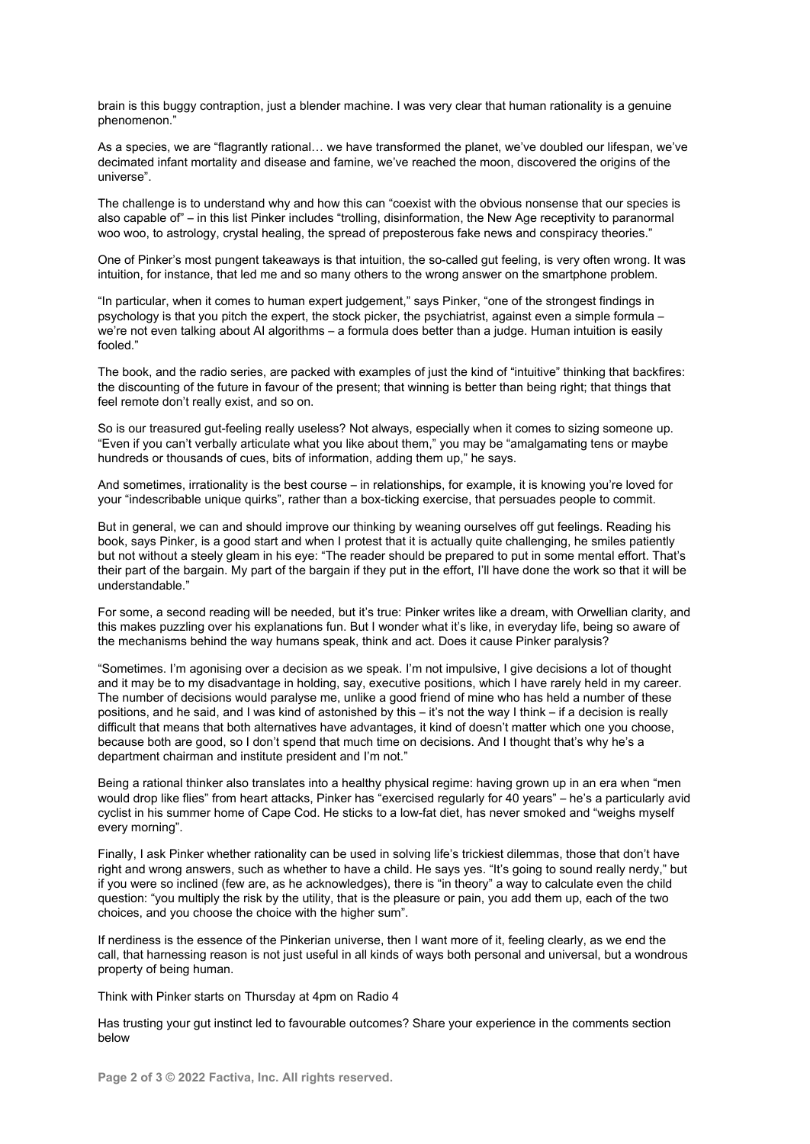brain is this buggy contraption, just a blender machine. I was very clear that human rationality is a genuine phenomenon."

As a species, we are "flagrantly rational… we have transformed the planet, we've doubled our lifespan, we've decimated infant mortality and disease and famine, we've reached the moon, discovered the origins of the universe".

The challenge is to understand why and how this can "coexist with the obvious nonsense that our species is also capable of" – in this list Pinker includes "trolling, disinformation, the New Age receptivity to paranormal woo woo, to astrology, crystal healing, the spread of preposterous fake news and conspiracy theories."

One of Pinker's most pungent takeaways is that intuition, the so-called gut feeling, is very often wrong. It was intuition, for instance, that led me and so many others to the wrong answer on the smartphone problem.

"In particular, when it comes to human expert judgement," says Pinker, "one of the strongest findings in psychology is that you pitch the expert, the stock picker, the psychiatrist, against even a simple formula – we're not even talking about AI algorithms – a formula does better than a judge. Human intuition is easily fooled."

The book, and the radio series, are packed with examples of just the kind of "intuitive" thinking that backfires: the discounting of the future in favour of the present; that winning is better than being right; that things that feel remote don't really exist, and so on.

So is our treasured gut-feeling really useless? Not always, especially when it comes to sizing someone up. "Even if you can't verbally articulate what you like about them," you may be "amalgamating tens or maybe hundreds or thousands of cues, bits of information, adding them up," he says.

And sometimes, irrationality is the best course – in relationships, for example, it is knowing you're loved for your "indescribable unique quirks", rather than a box-ticking exercise, that persuades people to commit.

But in general, we can and should improve our thinking by weaning ourselves off gut feelings. Reading his book, says Pinker, is a good start and when I protest that it is actually quite challenging, he smiles patiently but not without a steely gleam in his eye: "The reader should be prepared to put in some mental effort. That's their part of the bargain. My part of the bargain if they put in the effort, I'll have done the work so that it will be understandable."

For some, a second reading will be needed, but it's true: Pinker writes like a dream, with Orwellian clarity, and this makes puzzling over his explanations fun. But I wonder what it's like, in everyday life, being so aware of the mechanisms behind the way humans speak, think and act. Does it cause Pinker paralysis?

"Sometimes. I'm agonising over a decision as we speak. I'm not impulsive, I give decisions a lot of thought and it may be to my disadvantage in holding, say, executive positions, which I have rarely held in my career. The number of decisions would paralyse me, unlike a good friend of mine who has held a number of these positions, and he said, and I was kind of astonished by this – it's not the way I think – if a decision is really difficult that means that both alternatives have advantages, it kind of doesn't matter which one you choose, because both are good, so I don't spend that much time on decisions. And I thought that's why he's a department chairman and institute president and I'm not."

Being a rational thinker also translates into a healthy physical regime: having grown up in an era when "men would drop like flies" from heart attacks, Pinker has "exercised regularly for 40 years" – he's a particularly avid cyclist in his summer home of Cape Cod. He sticks to a low-fat diet, has never smoked and "weighs myself every morning".

Finally, I ask Pinker whether rationality can be used in solving life's trickiest dilemmas, those that don't have right and wrong answers, such as whether to have a child. He says yes. "It's going to sound really nerdy," but if you were so inclined (few are, as he acknowledges), there is "in theory" a way to calculate even the child question: "you multiply the risk by the utility, that is the pleasure or pain, you add them up, each of the two choices, and you choose the choice with the higher sum".

If nerdiness is the essence of the Pinkerian universe, then I want more of it, feeling clearly, as we end the call, that harnessing reason is not just useful in all kinds of ways both personal and universal, but a wondrous property of being human.

Think with Pinker starts on Thursday at 4pm on Radio 4

Has trusting your gut instinct led to favourable outcomes? Share your experience in the comments section below